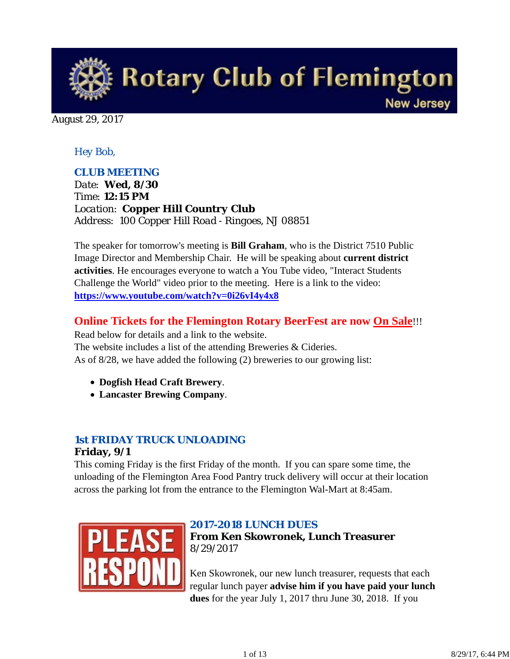**Rotary Club of Flemington New Jersey** 

August 29, 2017

## *Hey Bob,*

## *CLUB MEETING*

*Date: Wed, 8/30 Time: 12:15 PM Location: Copper Hill Country Club Address: 100 Copper Hill Road - Ringoes, NJ 08851*

The speaker for tomorrow's meeting is **Bill Graham**, who is the District 7510 Public Image Director and Membership Chair. He will be speaking about **current district activities**. He encourages everyone to watch a You Tube video, "Interact Students Challenge the World" video prior to the meeting. Here is a link to the video: **https://www.youtube.com/watch?v=0i26vI4y4x8**

## **Online Tickets for the Flemington Rotary BeerFest are now On Sale**!!!

Read below for details and a link to the website. The website includes a list of the attending Breweries & Cideries. As of 8/28, we have added the following (2) breweries to our growing list:

- **Dogfish Head Craft Brewery**.
- **Lancaster Brewing Company**.

## *1st FRIDAY TRUCK UNLOADING*

### **Friday, 9/1**

This coming Friday is the first Friday of the month. If you can spare some time, the unloading of the Flemington Area Food Pantry truck delivery will occur at their location across the parking lot from the entrance to the Flemington Wal-Mart at 8:45am.



## *2017-2018 LUNCH DUES*

**From Ken Skowronek, Lunch Treasurer** 8/29/2017

Ken Skowronek, our new lunch treasurer, requests that each regular lunch payer **advise him if you have paid your lunch dues** for the year July 1, 2017 thru June 30, 2018. If you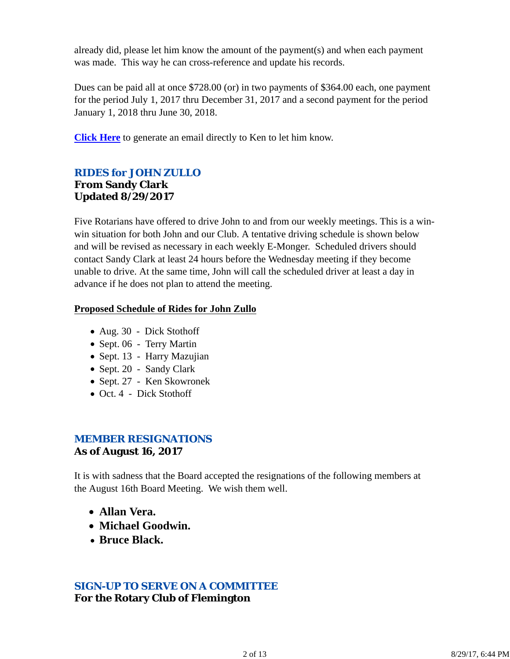already did, please let him know the amount of the payment(s) and when each payment was made. This way he can cross-reference and update his records.

Dues can be paid all at once \$728.00 (or) in two payments of \$364.00 each, one payment for the period July 1, 2017 thru December 31, 2017 and a second payment for the period January 1, 2018 thru June 30, 2018.

**Click Here** to generate an email directly to Ken to let him know.

## *RIDES for JOHN ZULLO* **From Sandy Clark Updated 8/29/2017**

Five Rotarians have offered to drive John to and from our weekly meetings. This is a winwin situation for both John and our Club. A tentative driving schedule is shown below and will be revised as necessary in each weekly E-Monger. Scheduled drivers should contact Sandy Clark at least 24 hours before the Wednesday meeting if they become unable to drive. At the same time, John will call the scheduled driver at least a day in advance if he does not plan to attend the meeting.

## **Proposed Schedule of Rides for John Zullo**

- Aug. 30 Dick Stothoff
- Sept. 06 Terry Martin
- Sept. 13 Harry Mazujian
- Sept. 20 Sandy Clark
- Sept. 27 Ken Skowronek
- Oct. 4 Dick Stothoff

## *MEMBER RESIGNATIONS* **As of August 16, 2017**

It is with sadness that the Board accepted the resignations of the following members at the August 16th Board Meeting. We wish them well.

- **Allan Vera.**
- **Michael Goodwin.**
- **Bruce Black.**

# *SIGN-UP TO SERVE ON A COMMITTEE*

**For the Rotary Club of Flemington**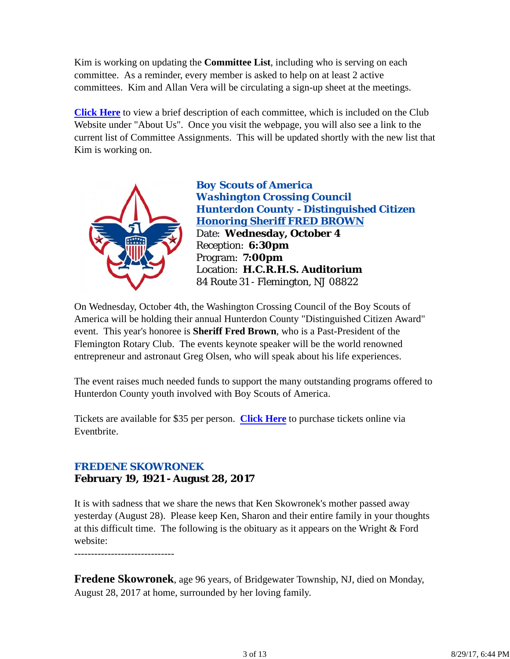Kim is working on updating the **Committee List**, including who is serving on each committee. As a reminder, every member is asked to help on at least 2 active committees. Kim and Allan Vera will be circulating a sign-up sheet at the meetings.

**Click Here** to view a brief description of each committee, which is included on the Club Website under "About Us". Once you visit the webpage, you will also see a link to the current list of Committee Assignments. This will be updated shortly with the new list that Kim is working on.



*Boy Scouts of America Washington Crossing Council Hunterdon County - Distinguished Citizen Honoring Sheriff FRED BROWN* Date: **Wednesday, October 4** Reception: **6:30pm** Program: **7:00pm** Location: **H.C.R.H.S. Auditorium** 84 Route 31 - Flemington, NJ 08822

On Wednesday, October 4th, the Washington Crossing Council of the Boy Scouts of America will be holding their annual Hunterdon County "Distinguished Citizen Award" event. This year's honoree is **Sheriff Fred Brown**, who is a Past-President of the Flemington Rotary Club. The events keynote speaker will be the world renowned entrepreneur and astronaut Greg Olsen, who will speak about his life experiences.

The event raises much needed funds to support the many outstanding programs offered to Hunterdon County youth involved with Boy Scouts of America.

Tickets are available for \$35 per person. **Click Here** to purchase tickets online via Eventbrite.

## *FREDENE SKOWRONEK*

### **February 19, 1921 - August 28, 2017**

It is with sadness that we share the news that Ken Skowronek's mother passed away yesterday (August 28). Please keep Ken, Sharon and their entire family in your thoughts at this difficult time. The following is the obituary as it appears on the Wright & Ford website:

------------------------------

**Fredene Skowronek**, age 96 years, of Bridgewater Township, NJ, died on Monday, August 28, 2017 at home, surrounded by her loving family.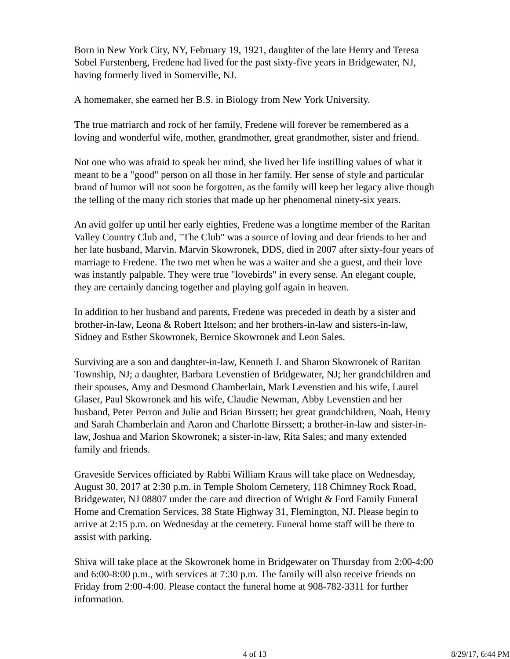Born in New York City, NY, February 19, 1921, daughter of the late Henry and Teresa Sobel Furstenberg, Fredene had lived for the past sixty-five years in Bridgewater, NJ, having formerly lived in Somerville, NJ.

A homemaker, she earned her B.S. in Biology from New York University.

The true matriarch and rock of her family, Fredene will forever be remembered as a loving and wonderful wife, mother, grandmother, great grandmother, sister and friend.

Not one who was afraid to speak her mind, she lived her life instilling values of what it meant to be a "good" person on all those in her family. Her sense of style and particular brand of humor will not soon be forgotten, as the family will keep her legacy alive though the telling of the many rich stories that made up her phenomenal ninety-six years.

An avid golfer up until her early eighties, Fredene was a longtime member of the Raritan Valley Country Club and, "The Club" was a source of loving and dear friends to her and her late husband, Marvin. Marvin Skowronek, DDS, died in 2007 after sixty-four years of marriage to Fredene. The two met when he was a waiter and she a guest, and their love was instantly palpable. They were true "lovebirds" in every sense. An elegant couple, they are certainly dancing together and playing golf again in heaven.

In addition to her husband and parents, Fredene was preceded in death by a sister and brother-in-law, Leona & Robert Ittelson; and her brothers-in-law and sisters-in-law, Sidney and Esther Skowronek, Bernice Skowronek and Leon Sales.

Surviving are a son and daughter-in-law, Kenneth J. and Sharon Skowronek of Raritan Township, NJ; a daughter, Barbara Levenstien of Bridgewater, NJ; her grandchildren and their spouses, Amy and Desmond Chamberlain, Mark Levenstien and his wife, Laurel Glaser, Paul Skowronek and his wife, Claudie Newman, Abby Levenstien and her husband, Peter Perron and Julie and Brian Birssett; her great grandchildren, Noah, Henry and Sarah Chamberlain and Aaron and Charlotte Birssett; a brother-in-law and sister-inlaw, Joshua and Marion Skowronek; a sister-in-law, Rita Sales; and many extended family and friends.

Graveside Services officiated by Rabbi William Kraus will take place on Wednesday, August 30, 2017 at 2:30 p.m. in Temple Sholom Cemetery, 118 Chimney Rock Road, Bridgewater, NJ 08807 under the care and direction of Wright & Ford Family Funeral Home and Cremation Services, 38 State Highway 31, Flemington, NJ. Please begin to arrive at 2:15 p.m. on Wednesday at the cemetery. Funeral home staff will be there to assist with parking.

Shiva will take place at the Skowronek home in Bridgewater on Thursday from 2:00-4:00 and 6:00-8:00 p.m., with services at 7:30 p.m. The family will also receive friends on Friday from 2:00-4:00. Please contact the funeral home at 908-782-3311 for further information.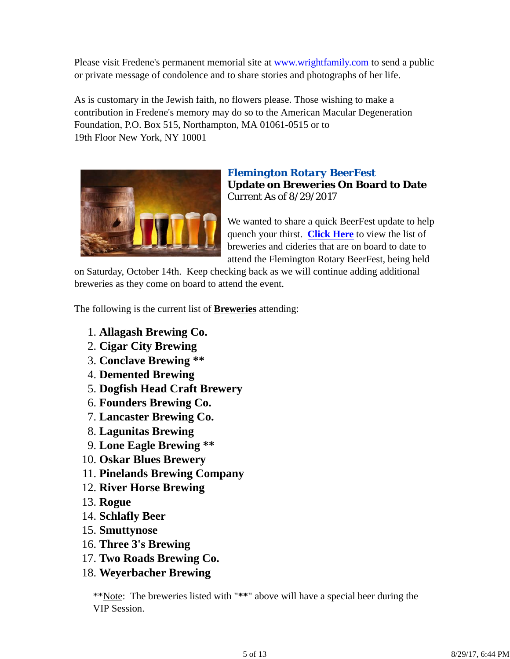Please visit Fredene's permanent memorial site at www.wrightfamily.com to send a public or private message of condolence and to share stories and photographs of her life.

As is customary in the Jewish faith, no flowers please. Those wishing to make a contribution in Fredene's memory may do so to the American Macular Degeneration Foundation, P.O. Box 515, Northampton, MA 01061-0515 or to 19th Floor New York, NY 10001



## *Flemington Rotary BeerFest* **Update on Breweries On Board to Date** Current As of 8/29/2017

We wanted to share a quick BeerFest update to help quench your thirst. **Click Here** to view the list of breweries and cideries that are on board to date to attend the Flemington Rotary BeerFest, being held

on Saturday, October 14th. Keep checking back as we will continue adding additional breweries as they come on board to attend the event.

The following is the current list of **Breweries** attending:

- 1. **Allagash Brewing Co.**
- 2. **Cigar City Brewing**
- 3. **Conclave Brewing \*\***
- 4. **Demented Brewing**
- 5. **Dogfish Head Craft Brewery**
- 6. **Founders Brewing Co.**
- 7. **Lancaster Brewing Co.**
- 8. **Lagunitas Brewing**
- 9. **Lone Eagle Brewing \*\***
- 10. **Oskar Blues Brewery**
- 11. **Pinelands Brewing Company**
- 12. **River Horse Brewing**
- 13. **Rogue**
- 14. **Schlafly Beer**
- 15. **Smuttynose**
- 16. **Three 3's Brewing**
- 17. **Two Roads Brewing Co.**
- 18. **Weyerbacher Brewing**

\*\*Note: The breweries listed with "**\*\***" above will have a special beer during the VIP Session.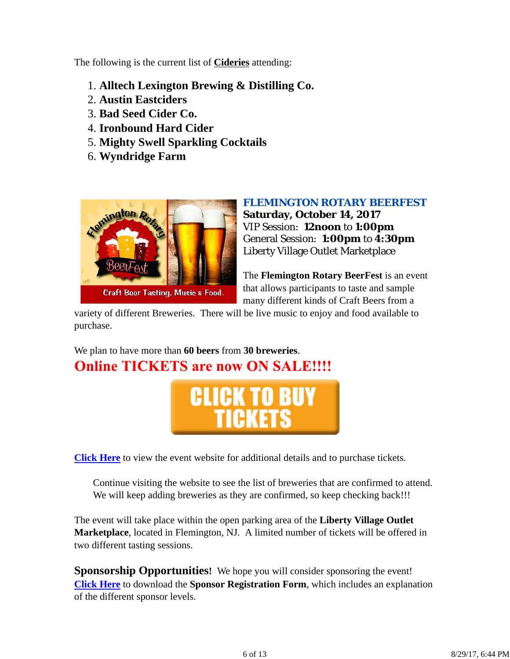The following is the current list of **Cideries** attending:

- 1. **Alltech Lexington Brewing & Distilling Co.**
- 2. **Austin Eastciders**
- 3. **Bad Seed Cider Co.**
- 4. **Ironbound Hard Cider**
- 5. **Mighty Swell Sparkling Cocktails**
- 6. **Wyndridge Farm**



## *FLEMINGTON ROTARY BEERFEST*

**Saturday, October 14, 2017** VIP Session: **12noon** to **1:00pm** General Session: **1:00pm** to **4:30pm** Liberty Village Outlet Marketplace

The **Flemington Rotary BeerFest** is an event that allows participants to taste and sample many different kinds of Craft Beers from a

variety of different Breweries. There will be live music to enjoy and food available to purchase.

We plan to have more than **60 beers** from **30 breweries**. **Online TICKETS are now ON SALE!!!!** 



**Click Here** to view the event website for additional details and to purchase tickets.

Continue visiting the website to see the list of breweries that are confirmed to attend. We will keep adding breweries as they are confirmed, so keep checking back!!!

The event will take place within the open parking area of the **Liberty Village Outlet Marketplace**, located in Flemington, NJ. A limited number of tickets will be offered in two different tasting sessions.

**Sponsorship Opportunities!** We hope you will consider sponsoring the event! **Click Here** to download the **Sponsor Registration Form**, which includes an explanation of the different sponsor levels.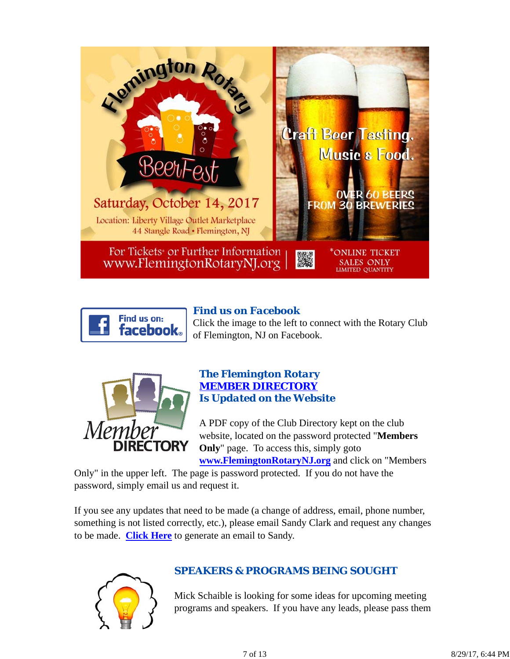



# *Find us on Facebook*

Click the image to the left to connect with the Rotary Club of Flemington, NJ on Facebook.



### *The Flemington Rotary MEMBER DIRECTORY Is Updated on the Website*

A PDF copy of the Club Directory kept on the club website, located on the password protected "**Members Only**" page. To access this, simply goto **www.FlemingtonRotaryNJ.org** and click on "Members

Only" in the upper left. The page is password protected. If you do not have the password, simply email us and request it.

If you see any updates that need to be made (a change of address, email, phone number, something is not listed correctly, etc.), please email Sandy Clark and request any changes to be made. **Click Here** to generate an email to Sandy.



# *SPEAKERS & PROGRAMS BEING SOUGHT*

Mick Schaible is looking for some ideas for upcoming meeting programs and speakers. If you have any leads, please pass them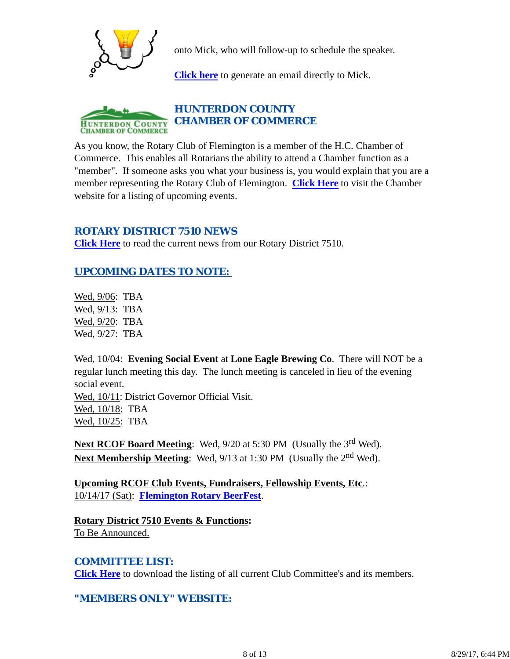

onto Mick, who will follow-up to schedule the speaker.

**Click here** to generate an email directly to Mick.



As you know, the Rotary Club of Flemington is a member of the H.C. Chamber of Commerce. This enables all Rotarians the ability to attend a Chamber function as a "member". If someone asks you what your business is, you would explain that you are a member representing the Rotary Club of Flemington. **Click Here** to visit the Chamber website for a listing of upcoming events.

## *ROTARY DISTRICT 7510 NEWS*

**Click Here** to read the current news from our Rotary District 7510.

# *UPCOMING DATES TO NOTE:*

Wed, 9/06: TBA Wed, 9/13: TBA Wed, 9/20: TBA Wed, 9/27: TBA

Wed, 10/04: **Evening Social Event** at **Lone Eagle Brewing Co**. There will NOT be a regular lunch meeting this day. The lunch meeting is canceled in lieu of the evening social event. Wed, 10/11: District Governor Official Visit. Wed, 10/18: TBA Wed, 10/25: TBA

**Next RCOF Board Meeting:** Wed, 9/20 at 5:30 PM (Usually the 3<sup>rd</sup> Wed). Next Membership Meeting: Wed, 9/13 at 1:30 PM (Usually the 2<sup>nd</sup> Wed).

**Upcoming RCOF Club Events, Fundraisers, Fellowship Events, Etc**.: 10/14/17 (Sat): **Flemington Rotary BeerFest**.

# **Rotary District 7510 Events & Functions:**

To Be Announced.

## *COMMITTEE LIST:*

**Click Here** to download the listing of all current Club Committee's and its members.

# *"MEMBERS ONLY" WEBSITE:*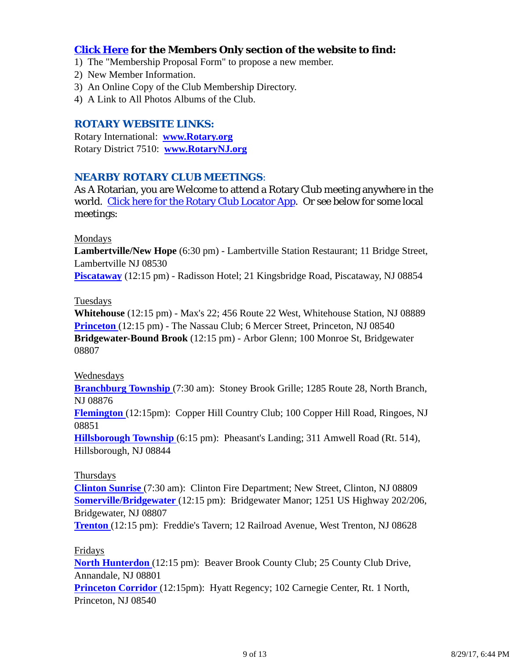## **Click Here for the Members Only section of the website to find:**

- 1) The "Membership Proposal Form" to propose a new member.
- 2) New Member Information.
- 3) An Online Copy of the Club Membership Directory.
- 4) A Link to All Photos Albums of the Club.

### *ROTARY WEBSITE LINKS:*

Rotary International: **www.Rotary.org** Rotary District 7510: **www.RotaryNJ.org**

### *NEARBY ROTARY CLUB MEETINGS:*

As A Rotarian, you are Welcome to attend a Rotary Club meeting anywhere in the world. Click here for the Rotary Club Locator App. Or see below for some local meetings:

### Mondays

**Lambertville/New Hope** (6:30 pm) - Lambertville Station Restaurant; 11 Bridge Street, Lambertville NJ 08530

**Piscataway** (12:15 pm) - Radisson Hotel; 21 Kingsbridge Road, Piscataway, NJ 08854

### Tuesdays

**Whitehouse** (12:15 pm) - Max's 22; 456 Route 22 West, Whitehouse Station, NJ 08889 **Princeton** (12:15 pm) - The Nassau Club; 6 Mercer Street, Princeton, NJ 08540 **Bridgewater-Bound Brook** (12:15 pm) - Arbor Glenn; 100 Monroe St, Bridgewater 08807

### Wednesdays

**Branchburg Township** (7:30 am): Stoney Brook Grille; 1285 Route 28, North Branch, NJ 08876

**Flemington** (12:15pm): Copper Hill Country Club; 100 Copper Hill Road, Ringoes, NJ 08851

**Hillsborough Township** (6:15 pm): Pheasant's Landing; 311 Amwell Road (Rt. 514), Hillsborough, NJ 08844

### Thursdays

**Clinton Sunrise** (7:30 am): Clinton Fire Department; New Street, Clinton, NJ 08809 **Somerville/Bridgewater** (12:15 pm): Bridgewater Manor; 1251 US Highway 202/206, Bridgewater, NJ 08807

**Trenton** (12:15 pm): Freddie's Tavern; 12 Railroad Avenue, West Trenton, NJ 08628

### Fridays

**North Hunterdon** (12:15 pm): Beaver Brook County Club; 25 County Club Drive, Annandale, NJ 08801

**Princeton Corridor** (12:15pm): Hyatt Regency; 102 Carnegie Center, Rt. 1 North, Princeton, NJ 08540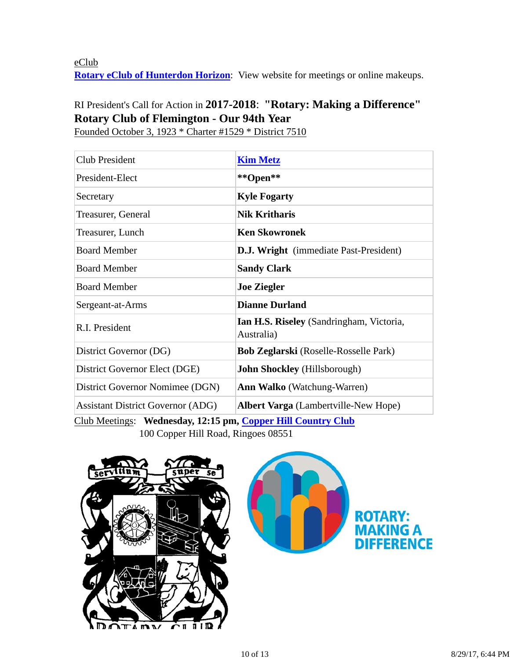eClub **Rotary eClub of Hunterdon Horizon**: View website for meetings or online makeups.

# RI President's Call for Action in **2017-2018**: **"Rotary: Making a Difference" Rotary Club of Flemington - Our 94th Year**

Founded October 3, 1923 \* Charter #1529 \* District 7510

| Club President                           | <b>Kim Metz</b>                                        |  |
|------------------------------------------|--------------------------------------------------------|--|
| President-Elect                          | **Open**                                               |  |
| Secretary                                | <b>Kyle Fogarty</b>                                    |  |
| Treasurer, General                       | <b>Nik Kritharis</b>                                   |  |
| Treasurer, Lunch                         | <b>Ken Skowronek</b>                                   |  |
| <b>Board Member</b>                      | <b>D.J. Wright</b> (immediate Past-President)          |  |
| <b>Board Member</b>                      | <b>Sandy Clark</b>                                     |  |
| <b>Board Member</b>                      | <b>Joe Ziegler</b>                                     |  |
| Sergeant-at-Arms                         | <b>Dianne Durland</b>                                  |  |
| R.I. President                           | Ian H.S. Riseley (Sandringham, Victoria,<br>Australia) |  |
| District Governor (DG)                   | Bob Zeglarski (Roselle-Rosselle Park)                  |  |
| District Governor Elect (DGE)            | <b>John Shockley</b> (Hillsborough)                    |  |
| District Governor Nomimee (DGN)          | <b>Ann Walko</b> (Watchung-Warren)                     |  |
| <b>Assistant District Governor (ADG)</b> | <b>Albert Varga</b> (Lambertville-New Hope)            |  |
|                                          |                                                        |  |

Club Meetings: **Wednesday, 12:15 pm, Copper Hill Country Club** 100 Copper Hill Road, Ringoes 08551



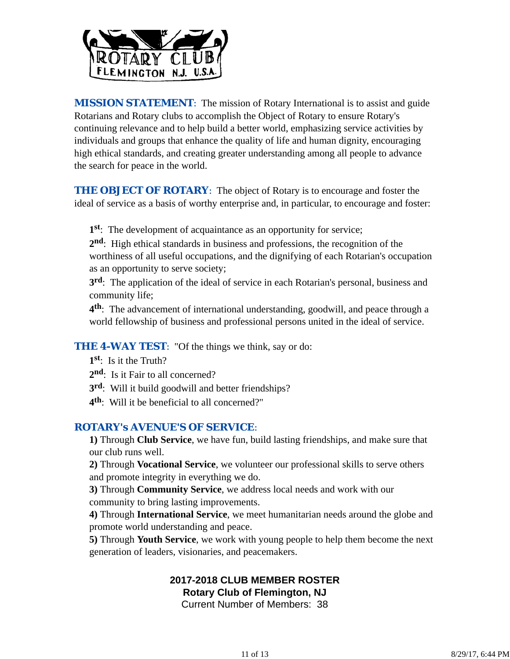

**MISSION STATEMENT:** The mission of Rotary International is to assist and guide Rotarians and Rotary clubs to accomplish the Object of Rotary to ensure Rotary's continuing relevance and to help build a better world, emphasizing service activities by individuals and groups that enhance the quality of life and human dignity, encouraging high ethical standards, and creating greater understanding among all people to advance the search for peace in the world.

**THE OBJECT OF ROTARY:** The object of Rotary is to encourage and foster the ideal of service as a basis of worthy enterprise and, in particular, to encourage and foster:

**1st**: The development of acquaintance as an opportunity for service;

**2nd**: High ethical standards in business and professions, the recognition of the worthiness of all useful occupations, and the dignifying of each Rotarian's occupation as an opportunity to serve society;

**3rd**: The application of the ideal of service in each Rotarian's personal, business and community life;

**4th**: The advancement of international understanding, goodwill, and peace through a world fellowship of business and professional persons united in the ideal of service.

### **THE 4-WAY TEST:** "Of the things we think, say or do:

- **1st**: Is it the Truth?
- 2<sup>nd</sup>: Is it Fair to all concerned?
- **3rd**: Will it build goodwill and better friendships?
- **4th**: Will it be beneficial to all concerned?"

### *ROTARY's AVENUE'S OF SERVICE*:

**1)** Through **Club Service**, we have fun, build lasting friendships, and make sure that our club runs well.

**2)** Through **Vocational Service**, we volunteer our professional skills to serve others and promote integrity in everything we do.

**3)** Through **Community Service**, we address local needs and work with our community to bring lasting improvements.

**4)** Through **International Service**, we meet humanitarian needs around the globe and promote world understanding and peace.

**5)** Through **Youth Service**, we work with young people to help them become the next generation of leaders, visionaries, and peacemakers.

### **2017-2018 CLUB MEMBER ROSTER Rotary Club of Flemington, NJ** Current Number of Members: 38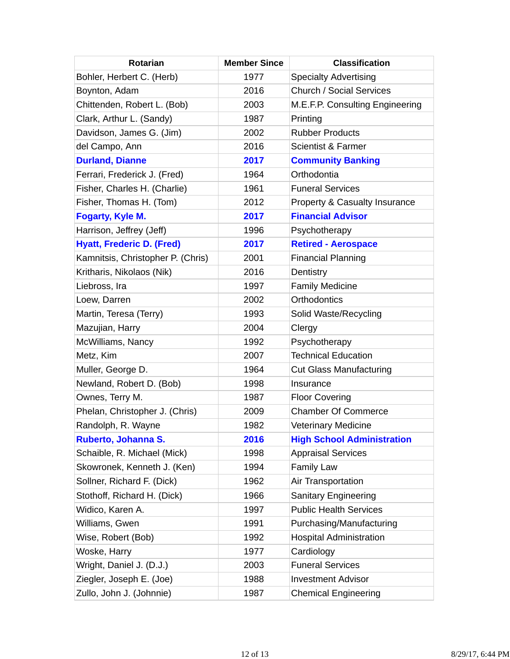| <b>Rotarian</b>                   | <b>Member Since</b> | <b>Classification</b>                    |
|-----------------------------------|---------------------|------------------------------------------|
| Bohler, Herbert C. (Herb)         | 1977                | <b>Specialty Advertising</b>             |
| Boynton, Adam                     | 2016                | <b>Church / Social Services</b>          |
| Chittenden, Robert L. (Bob)       | 2003                | M.E.F.P. Consulting Engineering          |
| Clark, Arthur L. (Sandy)          | 1987                | Printing                                 |
| Davidson, James G. (Jim)          | 2002                | <b>Rubber Products</b>                   |
| del Campo, Ann                    | 2016                | <b>Scientist &amp; Farmer</b>            |
| <b>Durland, Dianne</b>            | 2017                | <b>Community Banking</b>                 |
| Ferrari, Frederick J. (Fred)      | 1964                | Orthodontia                              |
| Fisher, Charles H. (Charlie)      | 1961                | <b>Funeral Services</b>                  |
| Fisher, Thomas H. (Tom)           | 2012                | <b>Property &amp; Casualty Insurance</b> |
| Fogarty, Kyle M.                  | 2017                | <b>Financial Advisor</b>                 |
| Harrison, Jeffrey (Jeff)          | 1996                | Psychotherapy                            |
| <b>Hyatt, Frederic D. (Fred)</b>  | 2017                | <b>Retired - Aerospace</b>               |
| Kamnitsis, Christopher P. (Chris) | 2001                | <b>Financial Planning</b>                |
| Kritharis, Nikolaos (Nik)         | 2016                | Dentistry                                |
| Liebross, Ira                     | 1997                | <b>Family Medicine</b>                   |
| Loew, Darren                      | 2002                | <b>Orthodontics</b>                      |
| Martin, Teresa (Terry)            | 1993                | Solid Waste/Recycling                    |
| Mazujian, Harry                   | 2004                | Clergy                                   |
| McWilliams, Nancy                 | 1992                | Psychotherapy                            |
| Metz, Kim                         | 2007                | <b>Technical Education</b>               |
| Muller, George D.                 | 1964                | <b>Cut Glass Manufacturing</b>           |
| Newland, Robert D. (Bob)          | 1998                | Insurance                                |
| Ownes, Terry M.                   | 1987                | <b>Floor Covering</b>                    |
| Phelan, Christopher J. (Chris)    | 2009                | <b>Chamber Of Commerce</b>               |
| Randolph, R. Wayne                | 1982                | <b>Veterinary Medicine</b>               |
| Ruberto, Johanna S.               | 2016                | <b>High School Administration</b>        |
| Schaible, R. Michael (Mick)       | 1998                | <b>Appraisal Services</b>                |
| Skowronek, Kenneth J. (Ken)       | 1994                | <b>Family Law</b>                        |
| Sollner, Richard F. (Dick)        | 1962                | Air Transportation                       |
| Stothoff, Richard H. (Dick)       | 1966                | Sanitary Engineering                     |
| Widico, Karen A.                  | 1997                | <b>Public Health Services</b>            |
| Williams, Gwen                    | 1991                | Purchasing/Manufacturing                 |
| Wise, Robert (Bob)                | 1992                | <b>Hospital Administration</b>           |
| Woske, Harry                      | 1977                | Cardiology                               |
| Wright, Daniel J. (D.J.)          | 2003                | <b>Funeral Services</b>                  |
| Ziegler, Joseph E. (Joe)          | 1988                | <b>Investment Advisor</b>                |
| Zullo, John J. (Johnnie)          | 1987                | <b>Chemical Engineering</b>              |